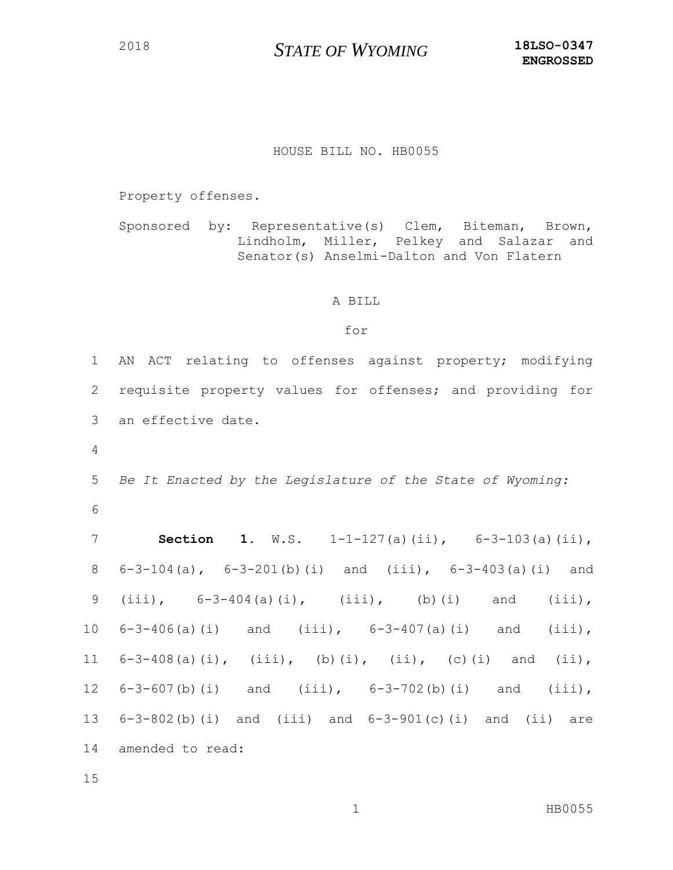## HOUSE BILL NO. HB0055

Property offenses.

Sponsored by: Representative(s) Clem, Biteman, Brown, Lindholm, Miller, Pelkey and Salazar and Senator(s) Anselmi-Dalton and Von Flatern

## A BILL

## for

 AN ACT relating to offenses against property; modifying requisite property values for offenses; and providing for an effective date. *Be It Enacted by the Legislature of the State of Wyoming:* **Section 1**. W.S. 1-1-127(a)(ii), 6-3-103(a)(ii), 6-3-104(a), 6-3-201(b)(i) and (iii), 6-3-403(a)(i) and (iii), 6-3-404(a)(i), (iii), (b)(i) and (iii), 6-3-406(a)(i) and (iii), 6-3-407(a)(i) and (iii), 6-3-408(a)(i), (iii), (b)(i), (ii), (c)(i) and (ii), 6-3-607(b)(i) and (iii), 6-3-702(b)(i) and (iii), 6-3-802(b)(i) and (iii) and 6-3-901(c)(i) and (ii) are amended to read: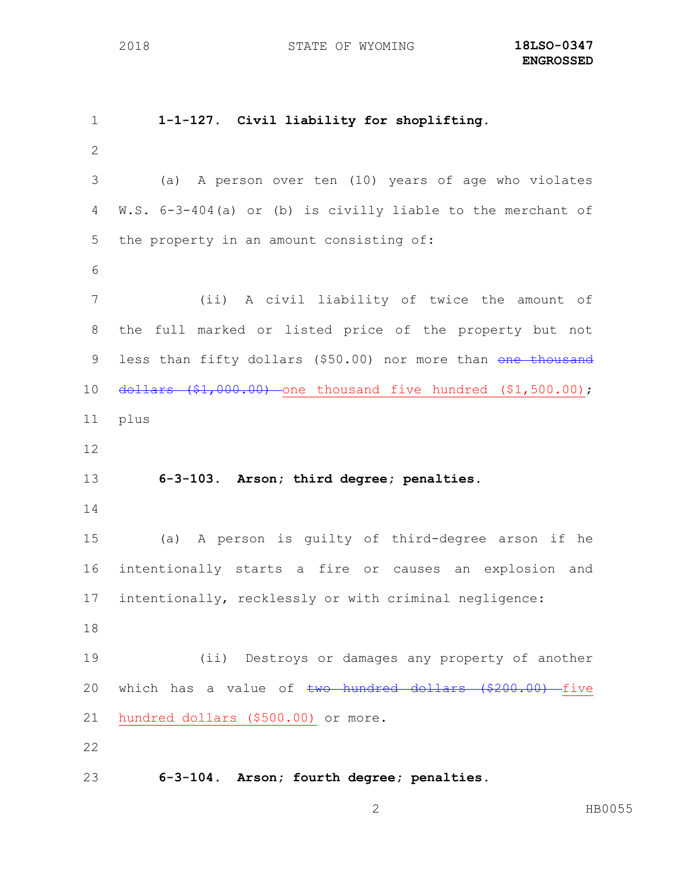**1-1-127. Civil liability for shoplifting.** (a) A person over ten (10) years of age who violates W.S. 6-3-404(a) or (b) is civilly liable to the merchant of the property in an amount consisting of: (ii) A civil liability of twice the amount of the full marked or listed price of the property but not 9 less than fifty dollars (\$50.00) nor more than one thousand dollars (\$1,000.00) one thousand five hundred (\$1,500.00); plus **6-3-103. Arson; third degree; penalties.** (a) A person is guilty of third-degree arson if he intentionally starts a fire or causes an explosion and intentionally, recklessly or with criminal negligence: (ii) Destroys or damages any property of another 20 which has a value of two hundred dollars (\$200.00) five hundred dollars (\$500.00) or more. **6-3-104. Arson; fourth degree; penalties.**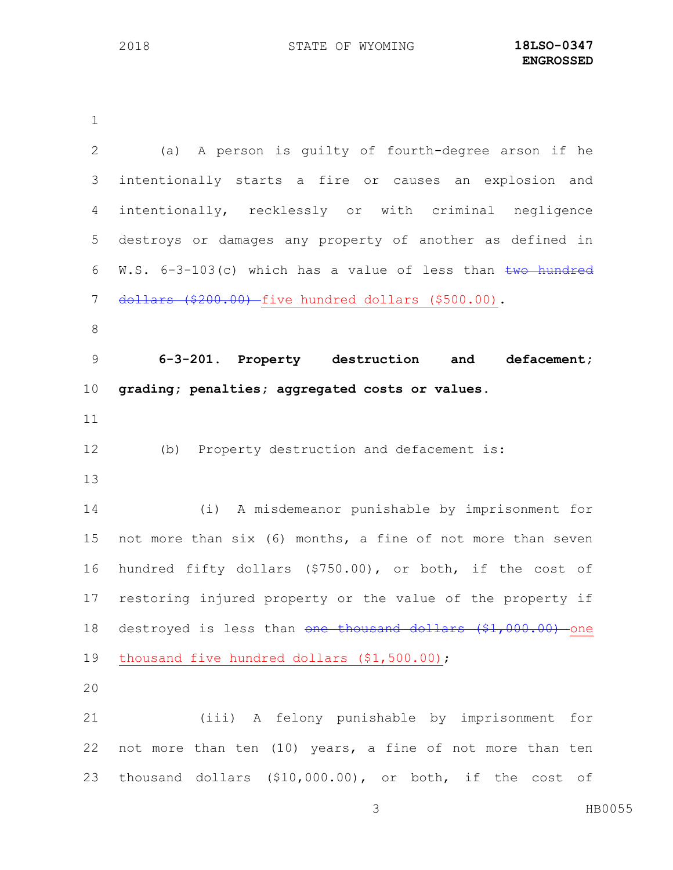**ENGROSSED**

| 2               | (a) A person is quilty of fourth-degree arson if he              |
|-----------------|------------------------------------------------------------------|
| 3               | intentionally starts a fire or causes an explosion and           |
| 4               | intentionally, recklessly or with criminal negligence            |
| 5               | destroys or damages any property of another as defined in        |
| 6               | W.S. 6-3-103(c) which has a value of less than two hundred       |
| 7               | dollars (\$200.00) five hundred dollars (\$500.00).              |
| $\,8\,$         |                                                                  |
| 9               | 6-3-201. Property destruction and<br>defacement;                 |
| 10 <sub>o</sub> | grading; penalties; aggregated costs or values.                  |
| 11              |                                                                  |
| 12              | Property destruction and defacement is:<br>(b)                   |
| 13              |                                                                  |
| 14              | (i) A misdemeanor punishable by imprisonment for                 |
| 15              | not more than six (6) months, a fine of not more than seven      |
| 16              | hundred fifty dollars (\$750.00), or both, if the cost of        |
| 17              | restoring injured property or the value of the property if       |
| 18              | destroyed is less than one thousand dollars (\$1,000.00)<br>-one |
| 19              | thousand five hundred dollars (\$1,500.00);                      |
| 20              |                                                                  |
| 21              | (iii) A felony punishable by imprisonment for                    |
| 22              | not more than ten (10) years, a fine of not more than ten        |
| 23              | thousand dollars (\$10,000.00), or both, if the cost of          |
|                 | HB0055<br>$\mathfrak{Z}$                                         |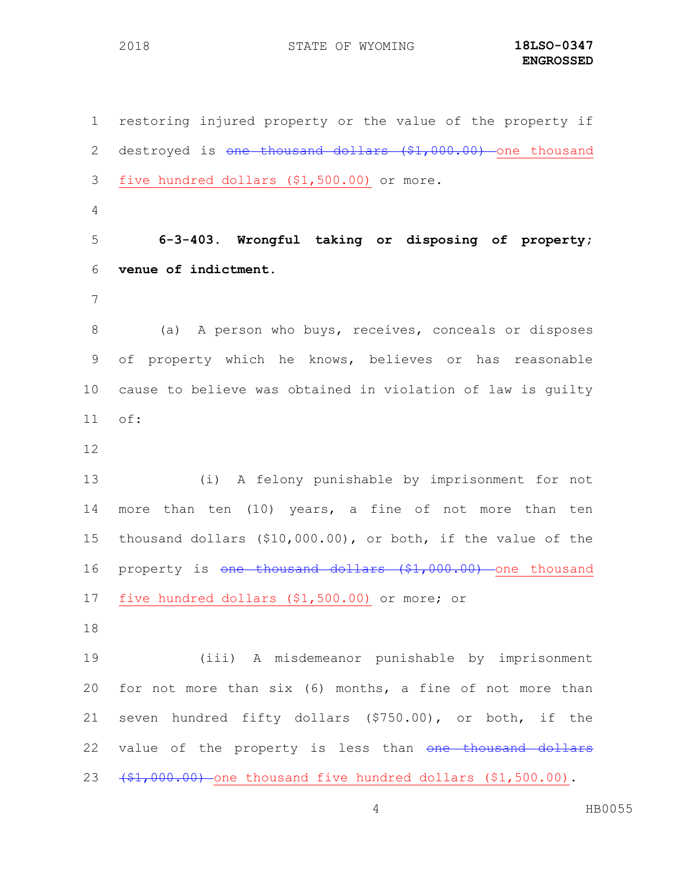restoring injured property or the value of the property if 2 destroyed is one thousand dollars (\$1,000.00) one thousand five hundred dollars (\$1,500.00) or more. **6-3-403. Wrongful taking or disposing of property; venue of indictment.** (a) A person who buys, receives, conceals or disposes of property which he knows, believes or has reasonable cause to believe was obtained in violation of law is guilty of: (i) A felony punishable by imprisonment for not more than ten (10) years, a fine of not more than ten thousand dollars (\$10,000.00), or both, if the value of the 16 property is one thousand dollars (\$1,000.00) one thousand five hundred dollars (\$1,500.00) or more; or (iii) A misdemeanor punishable by imprisonment for not more than six (6) months, a fine of not more than seven hundred fifty dollars (\$750.00), or both, if the 22 value of the property is less than one thousand dollars  $(41,000.00)$  one thousand five hundred dollars  $(41,500.00)$ .

HB0055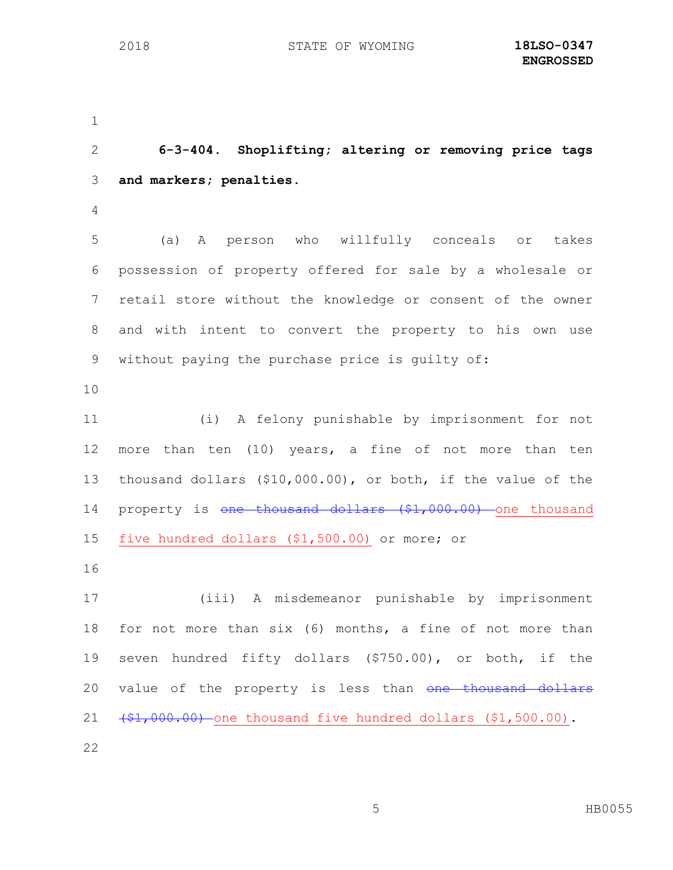**6-3-404. Shoplifting; altering or removing price tags and markers; penalties.** (a) A person who willfully conceals or takes possession of property offered for sale by a wholesale or retail store without the knowledge or consent of the owner and with intent to convert the property to his own use without paying the purchase price is guilty of: (i) A felony punishable by imprisonment for not more than ten (10) years, a fine of not more than ten thousand dollars (\$10,000.00), or both, if the value of the 14 property is one thousand dollars (\$1,000.00) one thousand five hundred dollars (\$1,500.00) or more; or (iii) A misdemeanor punishable by imprisonment for not more than six (6) months, a fine of not more than seven hundred fifty dollars (\$750.00), or both, if the 20 value of the property is less than one thousand dollars  $(1, 000.00)$  one thousand five hundred dollars  $(1, 500.00)$ .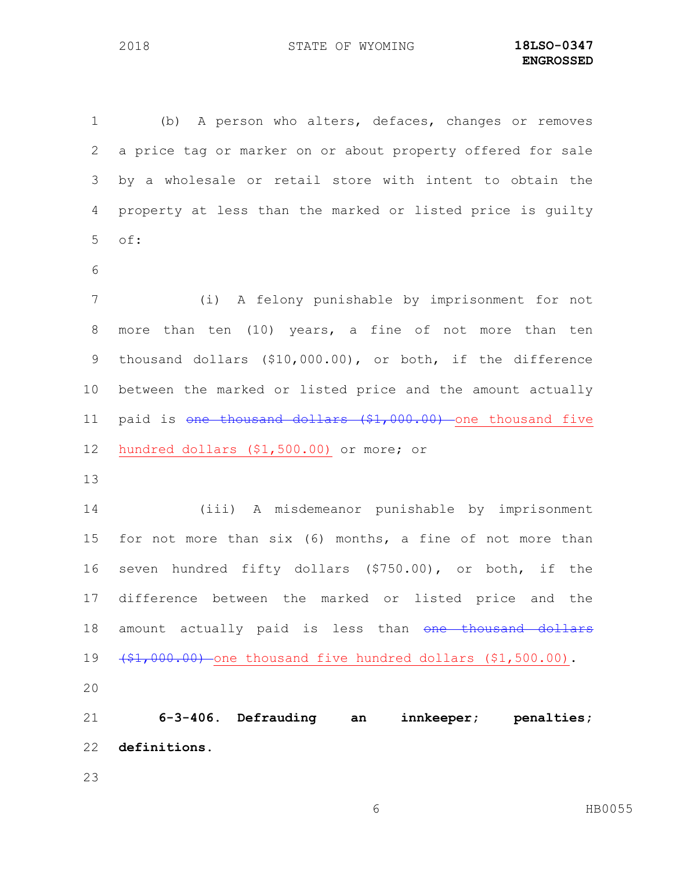(b) A person who alters, defaces, changes or removes a price tag or marker on or about property offered for sale by a wholesale or retail store with intent to obtain the property at less than the marked or listed price is guilty of: (i) A felony punishable by imprisonment for not more than ten (10) years, a fine of not more than ten thousand dollars (\$10,000.00), or both, if the difference between the marked or listed price and the amount actually

11 paid is one thousand dollars (\$1,000.00) one thousand five

hundred dollars (\$1,500.00) or more; or

 (iii) A misdemeanor punishable by imprisonment for not more than six (6) months, a fine of not more than seven hundred fifty dollars (\$750.00), or both, if the difference between the marked or listed price and the 18 amount actually paid is less than one thousand dollars  $(\frac{1}{2}, 000.00)$  one thousand five hundred dollars  $(1, 500.00)$ . 

 **6-3-406. Defrauding an innkeeper; penalties; definitions.**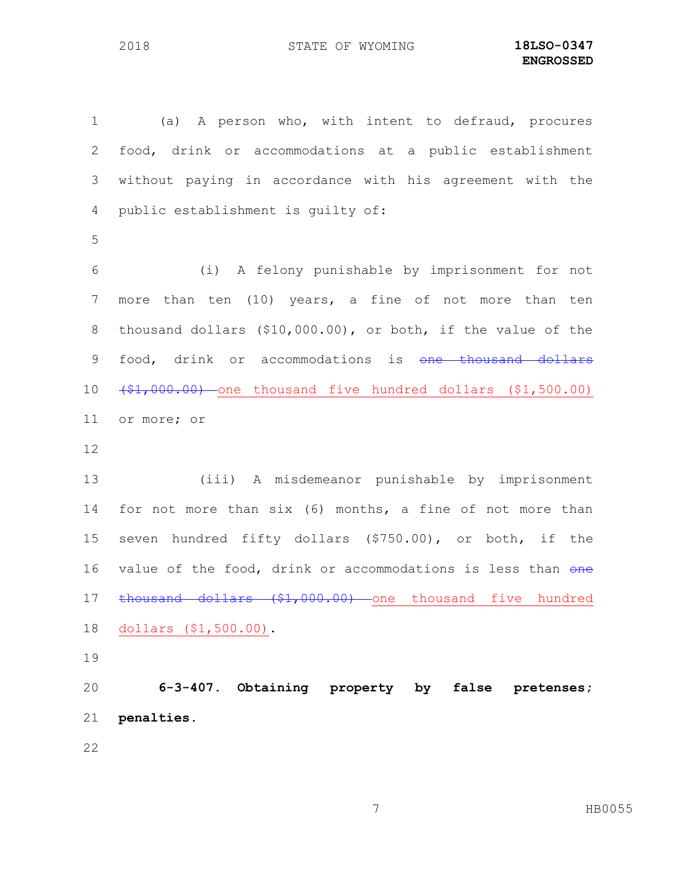(a) A person who, with intent to defraud, procures food, drink or accommodations at a public establishment without paying in accordance with his agreement with the public establishment is guilty of: (i) A felony punishable by imprisonment for not more than ten (10) years, a fine of not more than ten thousand dollars (\$10,000.00), or both, if the value of the 9 food, drink or accommodations is one thousand dollars (\$1,000.00) one thousand five hundred dollars (\$1,500.00) or more; or (iii) A misdemeanor punishable by imprisonment for not more than six (6) months, a fine of not more than seven hundred fifty dollars (\$750.00), or both, if the 16 value of the food, drink or accommodations is less than one 17 thousand dollars (\$1,000.00) one thousand five hundred dollars (\$1,500.00).

 **6-3-407. Obtaining property by false pretenses; penalties.**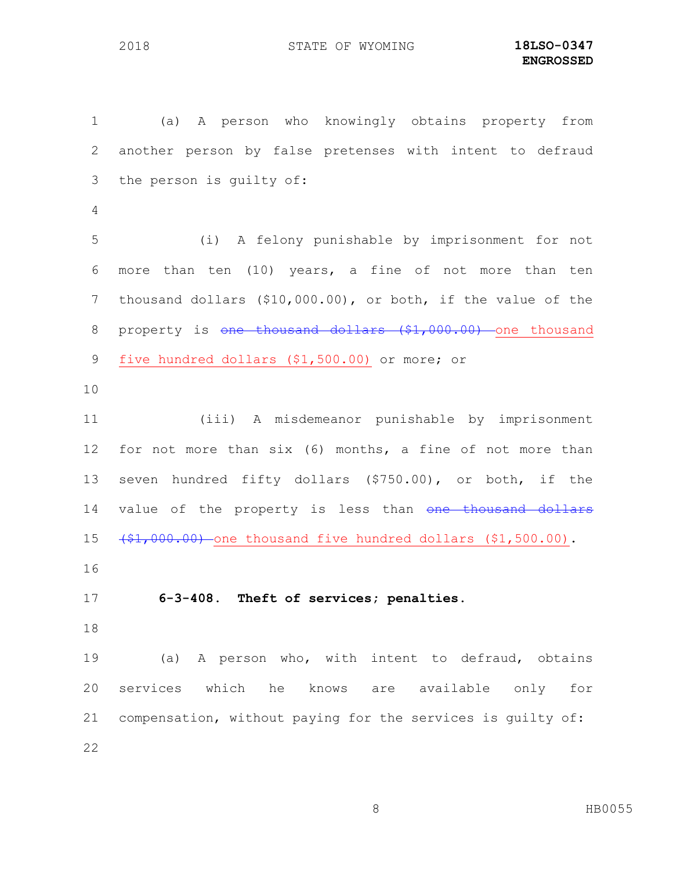(a) A person who knowingly obtains property from another person by false pretenses with intent to defraud the person is guilty of: (i) A felony punishable by imprisonment for not more than ten (10) years, a fine of not more than ten thousand dollars (\$10,000.00), or both, if the value of the 8 property is <del>one thousand dollars (\$1,000.00)</del> one thousand five hundred dollars (\$1,500.00) or more; or (iii) A misdemeanor punishable by imprisonment for not more than six (6) months, a fine of not more than seven hundred fifty dollars (\$750.00), or both, if the 14 value of the property is less than one thousand dollars  $(1,000.00)$  one thousand five hundred dollars  $(1,500.00)$ . **6-3-408. Theft of services; penalties.** (a) A person who, with intent to defraud, obtains services which he knows are available only for compensation, without paying for the services is guilty of: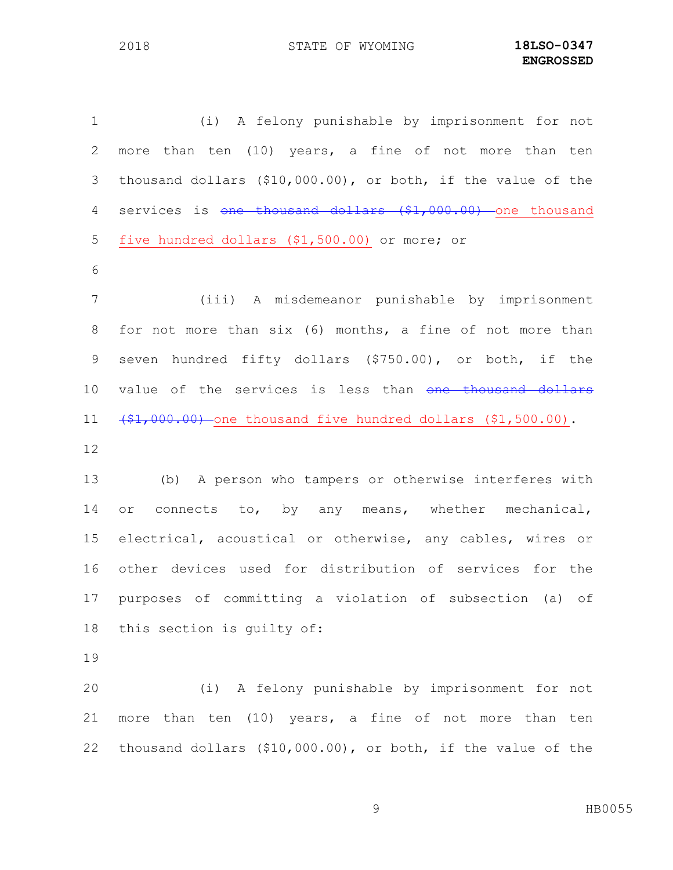(i) A felony punishable by imprisonment for not more than ten (10) years, a fine of not more than ten thousand dollars (\$10,000.00), or both, if the value of the 4 services is <del>one thousand dollars (\$1,000.00)</del> one thousand five hundred dollars (\$1,500.00) or more; or (iii) A misdemeanor punishable by imprisonment for not more than six (6) months, a fine of not more than seven hundred fifty dollars (\$750.00), or both, if the 10 value of the services is less than one thousand dollars  $(\frac{1}{2}, 000.00)$  one thousand five hundred dollars  $(1, 500.00)$ . (b) A person who tampers or otherwise interferes with 14 or connects to, by any means, whether mechanical, electrical, acoustical or otherwise, any cables, wires or other devices used for distribution of services for the purposes of committing a violation of subsection (a) of this section is guilty of:

 (i) A felony punishable by imprisonment for not more than ten (10) years, a fine of not more than ten thousand dollars (\$10,000.00), or both, if the value of the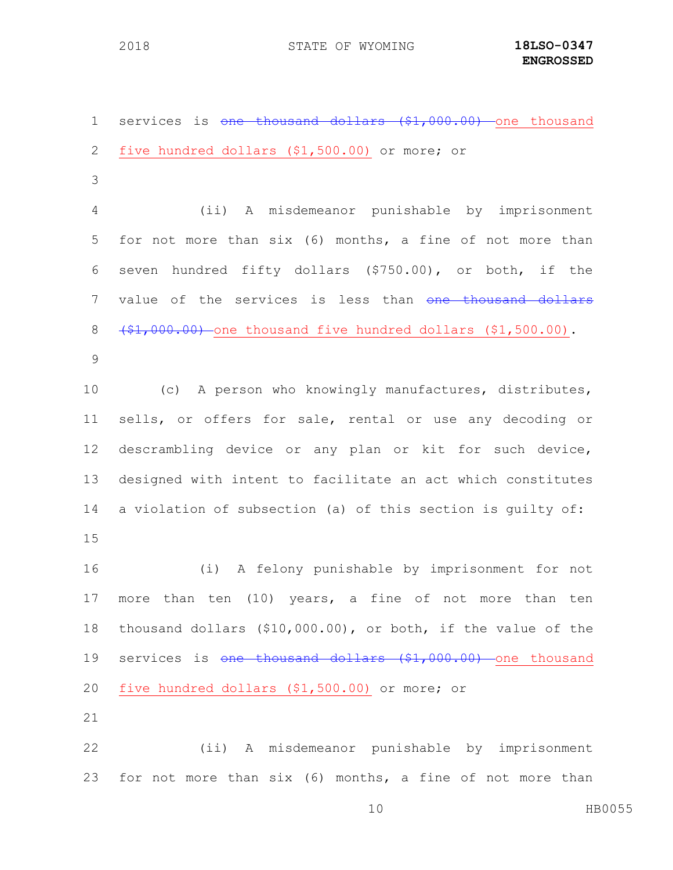1 services is <del>one thousand dollars (\$1,000.00)</del> one thousand five hundred dollars (\$1,500.00) or more; or (ii) A misdemeanor punishable by imprisonment for not more than six (6) months, a fine of not more than seven hundred fifty dollars (\$750.00), or both, if the 7 value of the services is less than one thousand dollars  $8 + $1,000.00$ ) one thousand five hundred dollars  $($1,500.00)$ . (c) A person who knowingly manufactures, distributes, sells, or offers for sale, rental or use any decoding or descrambling device or any plan or kit for such device, designed with intent to facilitate an act which constitutes a violation of subsection (a) of this section is guilty of: (i) A felony punishable by imprisonment for not more than ten (10) years, a fine of not more than ten thousand dollars (\$10,000.00), or both, if the value of the 19 services is one thousand dollars (\$1,000.00) one thousand five hundred dollars (\$1,500.00) or more; or (ii) A misdemeanor punishable by imprisonment for not more than six (6) months, a fine of not more than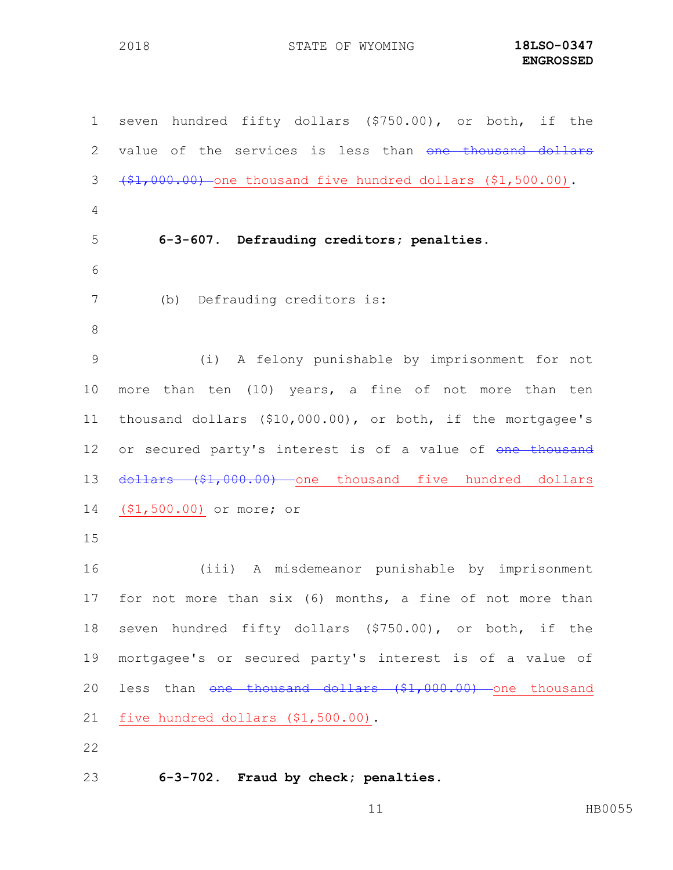seven hundred fifty dollars (\$750.00), or both, if the 2 value of the services is less than one thousand dollars  $(\frac{1}{2},000.00)$  one thousand five hundred dollars  $(1,500.00)$ . **6-3-607. Defrauding creditors; penalties.** (b) Defrauding creditors is: (i) A felony punishable by imprisonment for not more than ten (10) years, a fine of not more than ten thousand dollars (\$10,000.00), or both, if the mortgagee's 12 or secured party's interest is of a value of one thousand 13 dollars (\$1,000.00) one thousand five hundred dollars (\$1,500.00) or more; or (iii) A misdemeanor punishable by imprisonment for not more than six (6) months, a fine of not more than seven hundred fifty dollars (\$750.00), or both, if the mortgagee's or secured party's interest is of a value of 20 less than one thousand dollars (\$1,000.00) one thousand five hundred dollars (\$1,500.00). 

**6-3-702. Fraud by check; penalties.**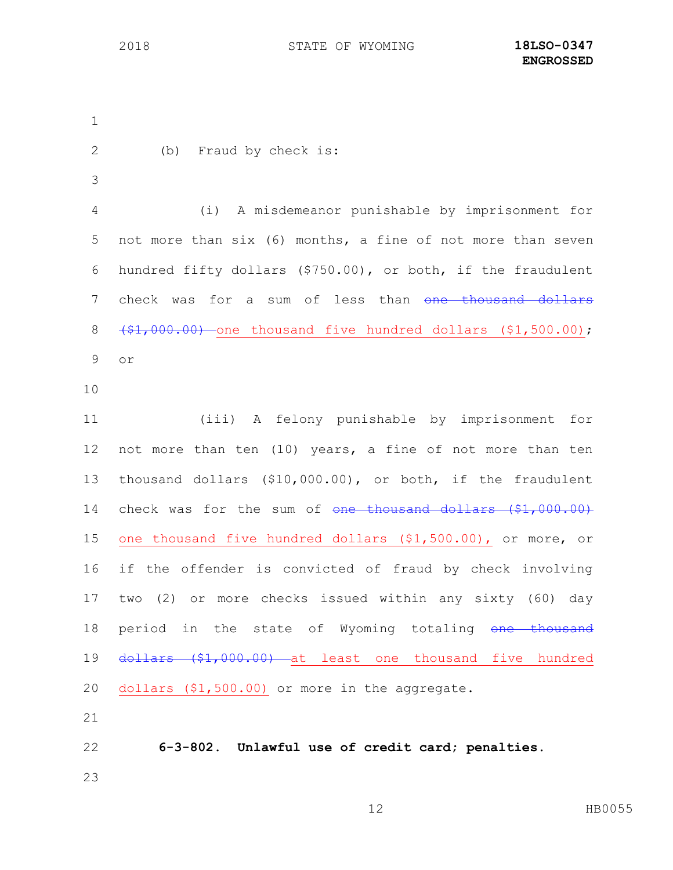(b) Fraud by check is: (i) A misdemeanor punishable by imprisonment for not more than six (6) months, a fine of not more than seven hundred fifty dollars (\$750.00), or both, if the fraudulent 7 check was for a sum of less than one thousand dollars 8 (\$1,000.00) one thousand five hundred dollars (\$1,500.00); or (iii) A felony punishable by imprisonment for not more than ten (10) years, a fine of not more than ten thousand dollars (\$10,000.00), or both, if the fraudulent 14 check was for the sum of one thousand dollars (\$1,000.00) one thousand five hundred dollars (\$1,500.00), or more, or if the offender is convicted of fraud by check involving two (2) or more checks issued within any sixty (60) day 18 period in the state of Wyoming totaling one thousand 19 <del>dollars (\$1,000.00) a</del>t least one thousand five hundred dollars (\$1,500.00) or more in the aggregate. **6-3-802. Unlawful use of credit card; penalties.**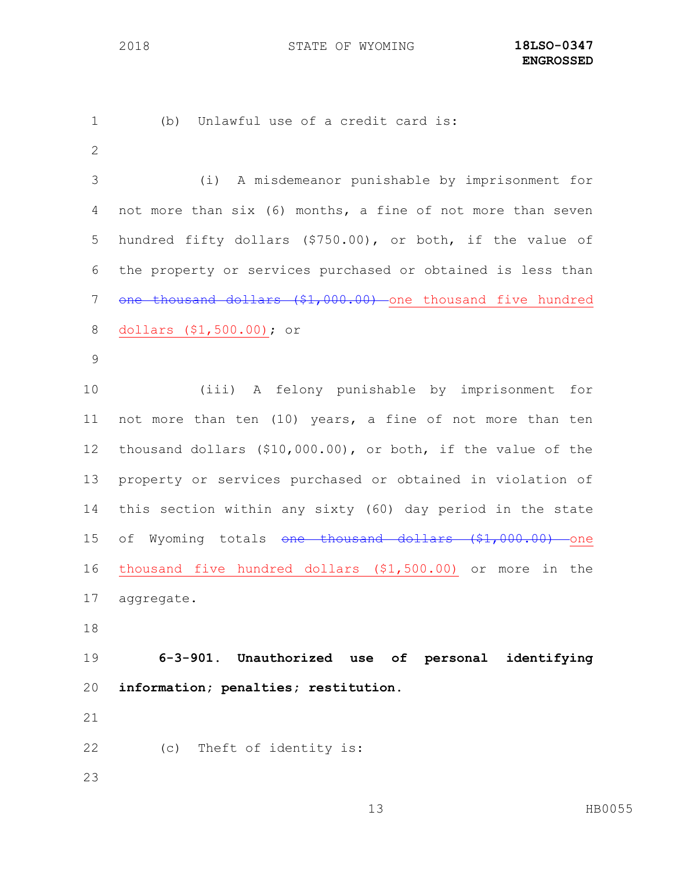(b) Unlawful use of a credit card is: (i) A misdemeanor punishable by imprisonment for not more than six (6) months, a fine of not more than seven hundred fifty dollars (\$750.00), or both, if the value of the property or services purchased or obtained is less than 7 one thousand dollars (\$1,000.00) one thousand five hundred dollars (\$1,500.00); or (iii) A felony punishable by imprisonment for not more than ten (10) years, a fine of not more than ten thousand dollars (\$10,000.00), or both, if the value of the property or services purchased or obtained in violation of this section within any sixty (60) day period in the state 15 of Wyoming totals one thousand dollars (\$1,000.00) one thousand five hundred dollars (\$1,500.00) or more in the aggregate. **6-3-901. Unauthorized use of personal identifying information; penalties; restitution.** (c) Theft of identity is: